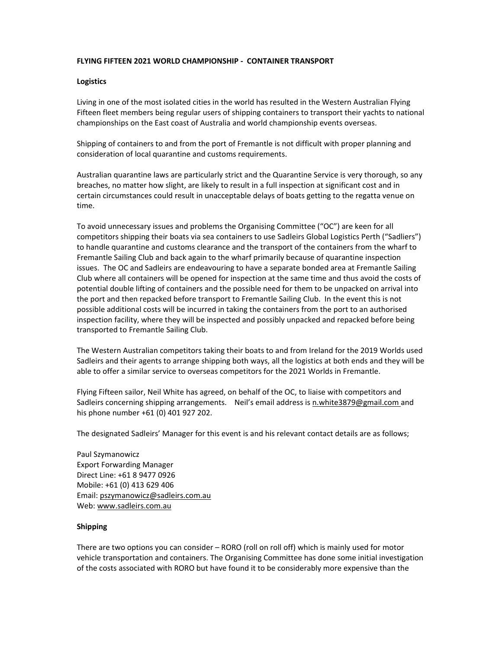# **FLYING FIFTEEN 2021 WORLD CHAMPIONSHIP ‐ CONTAINER TRANSPORT**

## **Logistics**

Living in one of the most isolated cities in the world has resulted in the Western Australian Flying Fifteen fleet members being regular users of shipping containers to transport their yachts to national championships on the East coast of Australia and world championship events overseas.

Shipping of containers to and from the port of Fremantle is not difficult with proper planning and consideration of local quarantine and customs requirements.

Australian quarantine laws are particularly strict and the Quarantine Service is very thorough, so any breaches, no matter how slight, are likely to result in a full inspection at significant cost and in certain circumstances could result in unacceptable delays of boats getting to the regatta venue on time.

To avoid unnecessary issues and problems the Organising Committee ("OC") are keen for all competitors shipping their boats via sea containers to use Sadleirs Global Logistics Perth ("Sadliers") to handle quarantine and customs clearance and the transport of the containers from the wharf to Fremantle Sailing Club and back again to the wharf primarily because of quarantine inspection issues. The OC and Sadleirs are endeavouring to have a separate bonded area at Fremantle Sailing Club where all containers will be opened for inspection at the same time and thus avoid the costs of potential double lifting of containers and the possible need for them to be unpacked on arrival into the port and then repacked before transport to Fremantle Sailing Club. In the event this is not possible additional costs will be incurred in taking the containers from the port to an authorised inspection facility, where they will be inspected and possibly unpacked and repacked before being transported to Fremantle Sailing Club.

The Western Australian competitors taking their boats to and from Ireland for the 2019 Worlds used Sadleirs and their agents to arrange shipping both ways, all the logistics at both ends and they will be able to offer a similar service to overseas competitors for the 2021 Worlds in Fremantle.

Flying Fifteen sailor, Neil White has agreed, on behalf of the OC, to liaise with competitors and Sadleirs concerning shipping arrangements. Neil's email address is n.white3879@gmail.com and his phone number +61 (0) 401 927 202.

The designated Sadleirs' Manager for this event is and his relevant contact details are as follows;

Paul Szymanowicz Export Forwarding Manager Direct Line: +61 8 9477 0926 Mobile: +61 (0) 413 629 406 Email: pszymanowicz@sadleirs.com.au Web: www.sadleirs.com.au

## **Shipping**

There are two options you can consider – RORO (roll on roll off) which is mainly used for motor vehicle transportation and containers. The Organising Committee has done some initial investigation of the costs associated with RORO but have found it to be considerably more expensive than the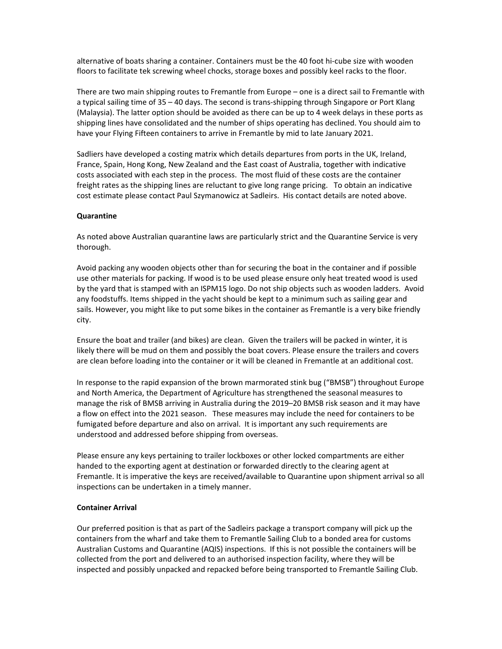alternative of boats sharing a container. Containers must be the 40 foot hi‐cube size with wooden floors to facilitate tek screwing wheel chocks, storage boxes and possibly keel racks to the floor.

There are two main shipping routes to Fremantle from Europe – one is a direct sail to Fremantle with a typical sailing time of 35 – 40 days. The second is trans‐shipping through Singapore or Port Klang (Malaysia). The latter option should be avoided as there can be up to 4 week delays in these ports as shipping lines have consolidated and the number of ships operating has declined. You should aim to have your Flying Fifteen containers to arrive in Fremantle by mid to late January 2021.

Sadliers have developed a costing matrix which details departures from ports in the UK, Ireland, France, Spain, Hong Kong, New Zealand and the East coast of Australia, together with indicative costs associated with each step in the process. The most fluid of these costs are the container freight rates as the shipping lines are reluctant to give long range pricing. To obtain an indicative cost estimate please contact Paul Szymanowicz at Sadleirs. His contact details are noted above.

#### **Quarantine**

As noted above Australian quarantine laws are particularly strict and the Quarantine Service is very thorough.

Avoid packing any wooden objects other than for securing the boat in the container and if possible use other materials for packing. If wood is to be used please ensure only heat treated wood is used by the yard that is stamped with an ISPM15 logo. Do not ship objects such as wooden ladders. Avoid any foodstuffs. Items shipped in the yacht should be kept to a minimum such as sailing gear and sails. However, you might like to put some bikes in the container as Fremantle is a very bike friendly city.

Ensure the boat and trailer (and bikes) are clean. Given the trailers will be packed in winter, it is likely there will be mud on them and possibly the boat covers. Please ensure the trailers and covers are clean before loading into the container or it will be cleaned in Fremantle at an additional cost.

In response to the rapid expansion of the brown marmorated stink bug ("BMSB") throughout Europe and North America, the Department of Agriculture has strengthened the seasonal measures to manage the risk of BMSB arriving in Australia during the 2019–20 BMSB risk season and it may have a flow on effect into the 2021 season. These measures may include the need for containers to be fumigated before departure and also on arrival. It is important any such requirements are understood and addressed before shipping from overseas.

Please ensure any keys pertaining to trailer lockboxes or other locked compartments are either handed to the exporting agent at destination or forwarded directly to the clearing agent at Fremantle. It is imperative the keys are received/available to Quarantine upon shipment arrival so all inspections can be undertaken in a timely manner.

#### **Container Arrival**

Our preferred position is that as part of the Sadleirs package a transport company will pick up the containers from the wharf and take them to Fremantle Sailing Club to a bonded area for customs Australian Customs and Quarantine (AQIS) inspections. If this is not possible the containers will be collected from the port and delivered to an authorised inspection facility, where they will be inspected and possibly unpacked and repacked before being transported to Fremantle Sailing Club.